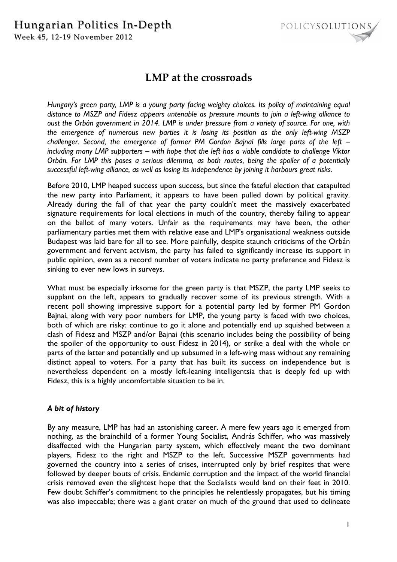# Hungarian Politics In-Depth Week 45, 12-19 November 2012



# **LMP at the crossroads**

*Hungary's green party, LMP is a young party facing weighty choices. Its policy of maintaining equal distance to MSZP and Fidesz appears untenable as pressure mounts to join a left-wing alliance to oust the Orbán government in 2014. LMP is under pressure from a variety of source. For one, with the emergence of numerous new parties it is losing its position as the only left-wing MSZP challenger. Second, the emergence of former PM Gordon Bajnai fills large parts of the left – including many LMP supporters – with hope that the left has a viable candidate to challenge Viktor Orbán. For LMP this poses a serious dilemma, as both routes, being the spoiler of a potentially successful left-wing alliance, as well as losing its independence by joining it harbours great risks.* 

Before 2010, LMP heaped success upon success, but since the fateful election that catapulted the new party into Parliament, it appears to have been pulled down by political gravity. Already during the fall of that year the party couldn't meet the massively exacerbated signature requirements for local elections in much of the country, thereby failing to appear on the ballot of many voters. Unfair as the requirements may have been, the other parliamentary parties met them with relative ease and LMP's organisational weakness outside Budapest was laid bare for all to see. More painfully, despite staunch criticisms of the Orbán government and fervent activism, the party has failed to significantly increase its support in public opinion, even as a record number of voters indicate no party preference and Fidesz is sinking to ever new lows in surveys.

What must be especially irksome for the green party is that MSZP, the party LMP seeks to supplant on the left, appears to gradually recover some of its previous strength. With a recent poll showing impressive support for a potential party led by former PM Gordon Bajnai, along with very poor numbers for LMP, the young party is faced with two choices, both of which are risky: continue to go it alone and potentially end up squished between a clash of Fidesz and MSZP and/or Bajnai (this scenario includes being the possibility of being the spoiler of the opportunity to oust Fidesz in 2014), or strike a deal with the whole or parts of the latter and potentially end up subsumed in a left-wing mass without any remaining distinct appeal to voters. For a party that has built its success on independence but is nevertheless dependent on a mostly left-leaning intelligentsia that is deeply fed up with Fidesz, this is a highly uncomfortable situation to be in.

## *A bit of history*

By any measure, LMP has had an astonishing career. A mere few years ago it emerged from nothing, as the brainchild of a former Young Socialist, András Schiffer, who was massively disaffected with the Hungarian party system, which effectively meant the two dominant players, Fidesz to the right and MSZP to the left. Successive MSZP governments had governed the country into a series of crises, interrupted only by brief respites that were followed by deeper bouts of crisis. Endemic corruption and the impact of the world financial crisis removed even the slightest hope that the Socialists would land on their feet in 2010. Few doubt Schiffer's commitment to the principles he relentlessly propagates, but his timing was also impeccable; there was a giant crater on much of the ground that used to delineate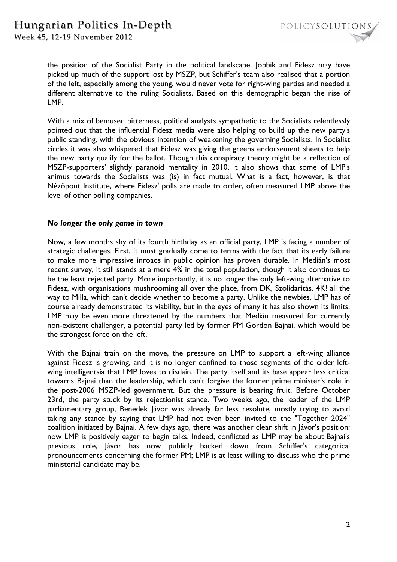

the position of the Socialist Party in the political landscape. Jobbik and Fidesz may have picked up much of the support lost by MSZP, but Schiffer's team also realised that a portion of the left, especially among the young, would never vote for right-wing parties and needed a different alternative to the ruling Socialists. Based on this demographic began the rise of LMP.

With a mix of bemused bitterness, political analysts sympathetic to the Socialists relentlessly pointed out that the influential Fidesz media were also helping to build up the new party's public standing, with the obvious intention of weakening the governing Socialists. In Socialist circles it was also whispered that Fidesz was giving the greens endorsement sheets to help the new party qualify for the ballot. Though this conspiracy theory might be a reflection of MSZP-supporters' slightly paranoid mentality in 2010, it also shows that some of LMP's animus towards the Socialists was (is) in fact mutual. What is a fact, however, is that Nézőpont Institute, where Fidesz' polls are made to order, often measured LMP above the level of other polling companies.

### *No longer the only game in town*

Now, a few months shy of its fourth birthday as an official party, LMP is facing a number of strategic challenges. First, it must gradually come to terms with the fact that its early failure to make more impressive inroads in public opinion has proven durable. In Medián's most recent survey, it still stands at a mere 4% in the total population, though it also continues to be the least rejected party. More importantly, it is no longer the only left-wing alternative to Fidesz, with organisations mushrooming all over the place, from DK, Szolidaritás, 4K! all the way to Milla, which can't decide whether to become a party. Unlike the newbies, LMP has of course already demonstrated its viability, but in the eyes of many it has also shown its limits. LMP may be even more threatened by the numbers that Medián measured for currently non-existent challenger, a potential party led by former PM Gordon Bajnai, which would be the strongest force on the left.

With the Bajnai train on the move, the pressure on LMP to support a left-wing alliance against Fidesz is growing, and it is no longer confined to those segments of the older leftwing intelligentsia that LMP loves to disdain. The party itself and its base appear less critical towards Bajnai than the leadership, which can't forgive the former prime minister's role in the post-2006 MSZP-led government. But the pressure is bearing fruit. Before October 23rd, the party stuck by its rejectionist stance. Two weeks ago, the leader of the LMP parliamentary group, Benedek Jávor was already far less resolute, mostly trying to avoid taking any stance by saying that LMP had not even been invited to the "Together 2024" coalition initiated by Bajnai. A few days ago, there was another clear shift in Jávor's position: now LMP is positively eager to begin talks. Indeed, conflicted as LMP may be about Bajnai's previous role, Jávor has now publicly backed down from Schiffer's categorical pronouncements concerning the former PM; LMP is at least willing to discuss who the prime ministerial candidate may be.